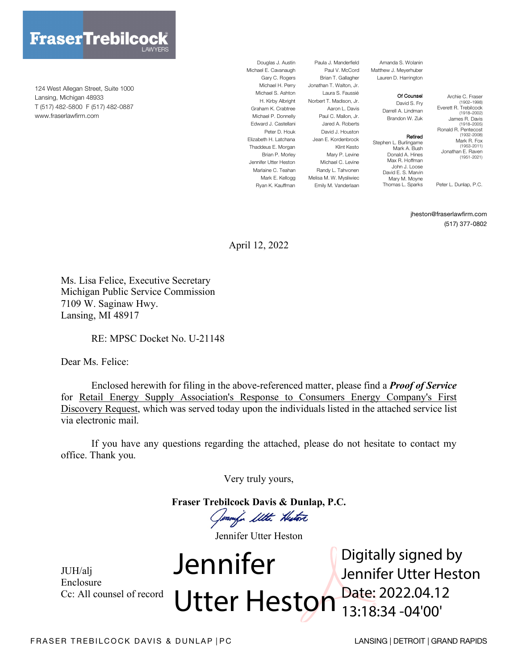

124 West Allegan Street, Suite 1000 Lansing, Michigan 48933 T (517) 482-5800 F (517) 482-0887 www.fraserlawfirm.com

Douglas J. Austin Michael E. Cavanaugh Gary C. Rogers Michael S. Ashton Graham K. Crabtree Michael P. Donnelly Edward J. Castellani Peter D. Houk Elizabeth H. Latchana Thaddeus E. Morgan Brian P. Morley Jennifer Utter Heston Marlaine C. Teahan

Ryan K. Kauffman

Michael H. Perry Jonathan T. Walton, Jr. H. Kirby Albright Norbert T. Madison, Jr. Mark E. Kellogg Melisa M. W. Mysliwiec Paula J. Manderfield Brian T. Gallagher Laura S. Faussié Aaron L. Davis Paul C. Mallon, Jr. Jared A. Roberts David J. Houston Jean E. Kordenbrock Klint Kesto Mary P. Levine Michael C. Levine Randy L. Tahvonen Emily M. Vanderlaan

Paul V. McCord Matthew J. Meyerhuber Amanda S. Wolanin Lauren D. Harrington

#### Of Counsel David S. Fry

Retired

Darrell A. Lindman Brandon W. Zuk

Stephen L. Burlingame Mark A. Bush Donald A. Hines Max R. Hoffman John J. Loose David E. S. Marvin Mary M. Moyne Thomas L. Sparks

(1902–1998) Everett R. Trebilcock (1918–2002) James R. Davis (1918–2005) Ronald R. Pentecost (1932-2008) Mark R. Fox (1953-2011) Jonathan E. Raven (1951-2021)

Archie C. Fraser

Peter L. Dunlap, P.C.

#### jheston@fraserlawfirm.com

(517) 377-0802

April 12, 2022

Ms. Lisa Felice, Executive Secretary Michigan Public Service Commission 7109 W. Saginaw Hwy. Lansing, MI 48917

RE: MPSC Docket No. U-21148

Dear Ms. Felice:

Enclosed herewith for filing in the above-referenced matter, please find a *Proof of Service* for Retail Energy Supply Association's Response to Consumers Energy Company's First Discovery Request, which was served today upon the individuals listed in the attached service list via electronic mail.

If you have any questions regarding the attached, please do not hesitate to contact my office. Thank you.

Very truly yours,

**Fraser Trebilcock Davis & Dunlap, P.C.**

Genny's Utte Histori

Jennifer Utter Heston

JUH/alj Enclosure Cc: All counsel of record Jennifer Utter Heston Digitally signed by Jennifer Utter Heston Date: 2022.04.12 13:18:34 -04'00'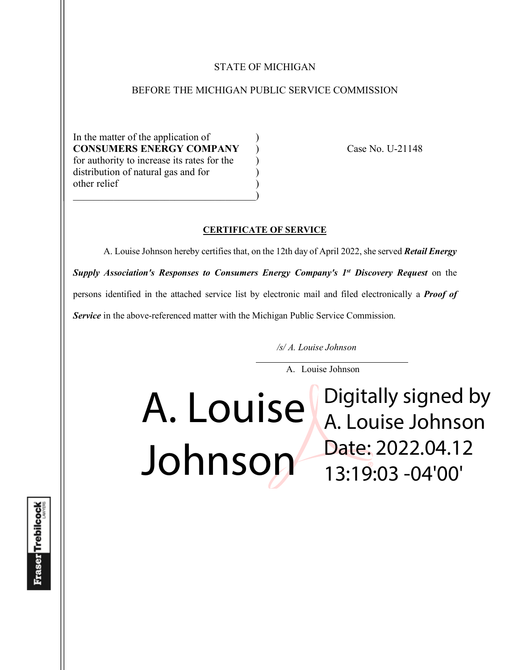#### STATE OF MICHIGAN

#### BEFORE THE MICHIGAN PUBLIC SERVICE COMMISSION

In the matter of the application of **CONSUMERS ENERGY COMPANY** ) Case No. U-21148 for authority to increase its rates for the  $\qquad$ ) distribution of natural gas and for ) other relief )  $\hspace{.5em}$   $\hspace{.5em}$   $\hspace{.5em}$   $\hspace{.5em}$   $\hspace{.5em}$   $\hspace{.5em}$   $\hspace{.5em}$   $\hspace{.5em}$   $\hspace{.5em}$   $\hspace{.5em}$   $\hspace{.5em}$   $\hspace{.5em}$   $\hspace{.5em}$   $\hspace{.5em}$   $\hspace{.5em}$   $\hspace{.5em}$   $\hspace{.5em}$   $\hspace{.5em}$   $\hspace{.5em}$   $\hspace{.5em}$ 

#### **CERTIFICATE OF SERVICE**

A. Louise Johnson hereby certifies that, on the 12th day of April 2022, she served *Retail Energy Supply Association's Responses to Consumers Energy Company's 1st Discovery Request* on the persons identified in the attached service list by electronic mail and filed electronically a *Proof of Service* in the above-referenced matter with the Michigan Public Service Commission.

*/s/ A. Louise Johnson*

A. Louise Johnson

A. Louise Johnson Digitally signed by A. Louise Johnson Date: 2022.04.12 13:19:03 -04'00'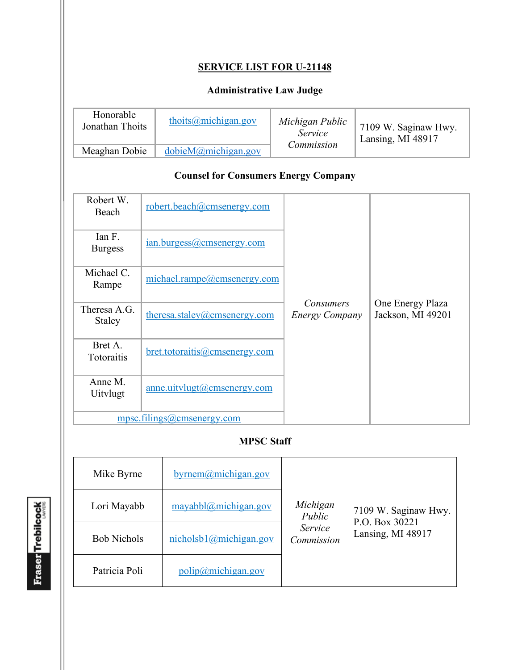# **SERVICE LIST FOR U-21148**

# **Administrative Law Judge**

| Honorable<br>Jonathan Thoits | thoits $@$ michigan.gov  | Michigan Public<br><i>Service</i><br>Commission | 17109 W. Saginaw Hwy.<br>Lansing, MI 48917 |
|------------------------------|--------------------------|-------------------------------------------------|--------------------------------------------|
| Meaghan Dobie                | $dobi M(a)$ michigan.gov |                                                 |                                            |

### **Counsel for Consumers Energy Company**

| Robert W.<br>Beach         | robert.beach@cmsenergy.com    |                                    |                                       |
|----------------------------|-------------------------------|------------------------------------|---------------------------------------|
| Ian F.<br><b>Burgess</b>   | ian.burgess@cmsenergy.com     |                                    |                                       |
| Michael C.<br>Rampe        | michael.rampe@cmsenergy.com   |                                    |                                       |
| Theresa A.G.<br>Staley     | theresa.staley@cmsenergy.com  | Consumers<br><b>Energy Company</b> | One Energy Plaza<br>Jackson, MI 49201 |
| Bret A.<br>Totoraitis      | bret.totoraitis@cmsenergy.com |                                    |                                       |
| Anne M.<br><b>Uitvlugt</b> | anne.uitvlugt@cmsenergy.com   |                                    |                                       |
|                            | mpsc.filings@cmsenergy.com    |                                    |                                       |

## **MPSC Staff**

| Mike Byrne         | byrnem@michigan.gov                           |                       |                                        |
|--------------------|-----------------------------------------------|-----------------------|----------------------------------------|
| Lori Mayabb        | mayabbl@michigan.gov                          | Michigan<br>Public    | 7109 W. Saginaw Hwy.<br>P.O. Box 30221 |
| <b>Bob Nichols</b> | nicholsb1@michigan.gov                        | Service<br>Commission | Lansing, MI 48917                      |
| Patricia Poli      | $\frac{\text{polip}(a)}{\text{michigan.gov}}$ |                       |                                        |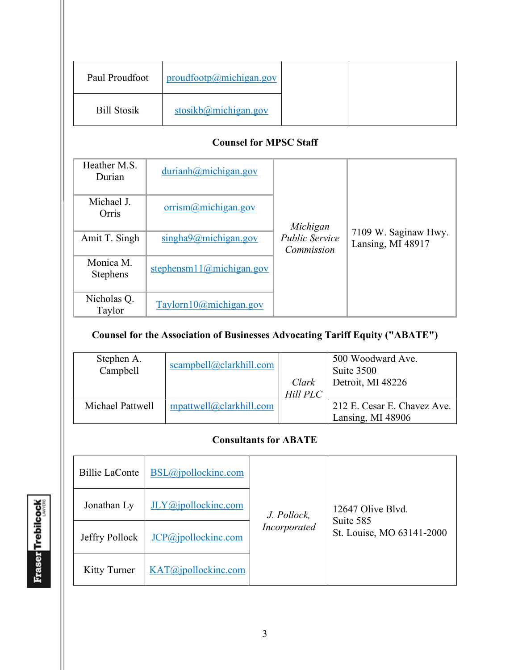| Paul Proudfoot     | productootp@michigan.gov |
|--------------------|--------------------------|
| <b>Bill Stosik</b> | stosikb@michigan.gov     |

### **Counsel for MPSC Staff**

| Heather M.S.<br>Durian       | durianh@michigan.gov     | Michigan                            |                                           |
|------------------------------|--------------------------|-------------------------------------|-------------------------------------------|
| Michael J.<br>Orris          | orrism@michigan.gov      |                                     |                                           |
| Amit T. Singh                | singha9@michigan.gov     | <b>Public Service</b><br>Commission | 7109 W. Saginaw Hwy.<br>Lansing, MI 48917 |
| Monica M.<br><b>Stephens</b> | stephensm11@michigan.gov |                                     |                                           |
| Nicholas Q.<br>Taylor        | Taylorn10@michigan.gov   |                                     |                                           |

# **Counsel for the Association of Businesses Advocating Tariff Equity ("ABATE")**

| Stephen A.<br>Campbell | scampbell@clarkhill.com    |          | 500 Woodward Ave.<br>Suite 3500 |
|------------------------|----------------------------|----------|---------------------------------|
|                        |                            | Clark    | Detroit, MI 48226               |
|                        |                            | Hill PLC |                                 |
| Michael Pattwell       | $m$ pattwell@clarkhill.com |          | 212 E. Cesar E. Chavez Ave.     |
|                        |                            |          | Lansing, MI 48906               |

# **Consultants for ABATE**

| <b>Billie LaConte</b> | BSL@jpollockinc.com |              |                                |
|-----------------------|---------------------|--------------|--------------------------------|
| Jonathan Ly           | JLY@jpollockinc.com | J. Pollock,  | 12647 Olive Blyd.<br>Suite 585 |
| Jeffry Pollock        | JCP@jpollockinc.com | Incorporated | St. Louise, MO 63141-2000      |
| Kitty Turner          | KAT@jpollockinc.com |              |                                |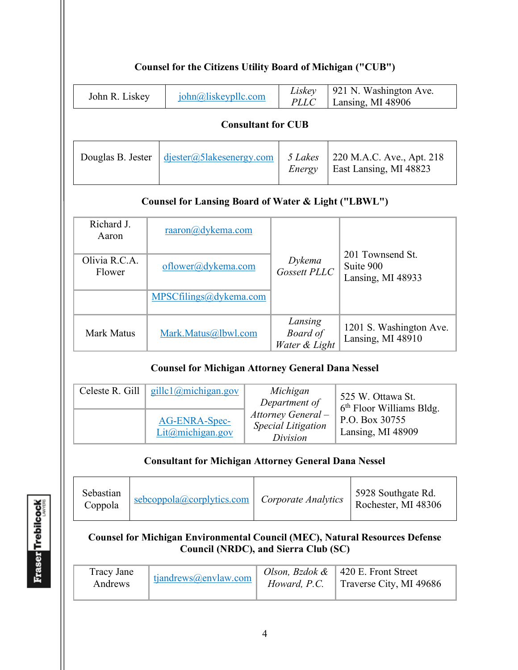# **Counsel for the Citizens Utility Board of Michigan ("CUB")**

| John R. Liskey | $\overline{\text{iohn}(a)}$ liskeypllc.com | <i>Liskey</i>   921 N. Washington Ave.<br>$PLLC$ Lansing, MI 48906 |
|----------------|--------------------------------------------|--------------------------------------------------------------------|
|                |                                            |                                                                    |

#### **Consultant for CUB**

|  | Douglas B. Jester $\frac{d}{\text{jester}(a)}$ 5 lakesenergy.com   5 Lakes   220 M.A.C. Ave., Apt. 218 | Energy | East Lansing, MI 48823 |
|--|--------------------------------------------------------------------------------------------------------|--------|------------------------|
|--|--------------------------------------------------------------------------------------------------------|--------|------------------------|

### **Counsel for Lansing Board of Water & Light ("LBWL")**

| Richard J.<br>Aaron     | $raaron(a)$ dykema.com |                                      |                                                    |
|-------------------------|------------------------|--------------------------------------|----------------------------------------------------|
| Olivia R.C.A.<br>Flower | oflower@dykema.com     | Dykema<br>Gossett PLLC               | 201 Townsend St.<br>Suite 900<br>Lansing, MI 48933 |
|                         | MPSCfilings@dykema.com |                                      |                                                    |
| Mark Matus              | Mark.Matus@lbwl.com    | Lansing<br>Board of<br>Water & Light | 1201 S. Washington Ave.<br>Lansing, MI 48910       |

### **Counsel for Michigan Attorney General Dana Nessel**

| Celeste R. Gill $\left  \right $ gillc1@michigan.gov | Michigan<br>Department of                                   | 525 W. Ottawa St.<br>$6th$ Floor Williams Bldg. |
|------------------------------------------------------|-------------------------------------------------------------|-------------------------------------------------|
| AG-ENRA-Spec-<br>Lit@michigan.gov                    | Attorney General -<br><b>Special Litigation</b><br>Division | P.O. Box 30755<br>Lansing, MI 48909             |

#### **Consultant for Michigan Attorney General Dana Nessel**

| Sebastian<br>Coppola | $sebcop pola@corplytics.com$   <i>Corporate Analytics</i> |  | 5928 Southgate Rd.<br>Rochester, MI 48306 |
|----------------------|-----------------------------------------------------------|--|-------------------------------------------|
|----------------------|-----------------------------------------------------------|--|-------------------------------------------|

### **Counsel for Michigan Environmental Council (MEC), Natural Resources Defense Council (NRDC), and Sierra Club (SC)**

| Tracy Jane<br>Andrews | tjandrews@envlaw.com | Howard, P.C. | <i>Olson, Bzdok &amp;</i>   420 E. Front Street<br>Traverse City, MI 49686 |
|-----------------------|----------------------|--------------|----------------------------------------------------------------------------|
|-----------------------|----------------------|--------------|----------------------------------------------------------------------------|